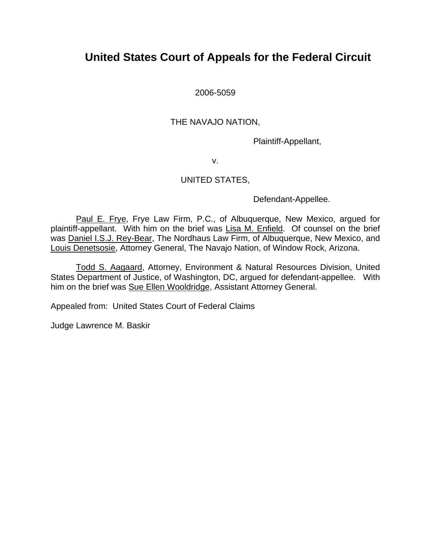# **United States Court of Appeals for the Federal Circuit**

2006-5059

# THE NAVAJO NATION,

Plaintiff-Appellant,

v.

# UNITED STATES,

Defendant-Appellee.

Paul E. Frye, Frye Law Firm, P.C., of Albuquerque, New Mexico, arqued for plaintiff-appellant. With him on the brief was Lisa M. Enfield. Of counsel on the brief was Daniel I.S.J. Rey-Bear, The Nordhaus Law Firm, of Albuquerque, New Mexico, and Louis Denetsosie, Attorney General, The Navajo Nation, of Window Rock, Arizona.

Todd S. Aagaard, Attorney, Environment & Natural Resources Division, United States Department of Justice, of Washington, DC, argued for defendant-appellee. With him on the brief was Sue Ellen Wooldridge, Assistant Attorney General.

Appealed from: United States Court of Federal Claims

Judge Lawrence M. Baskir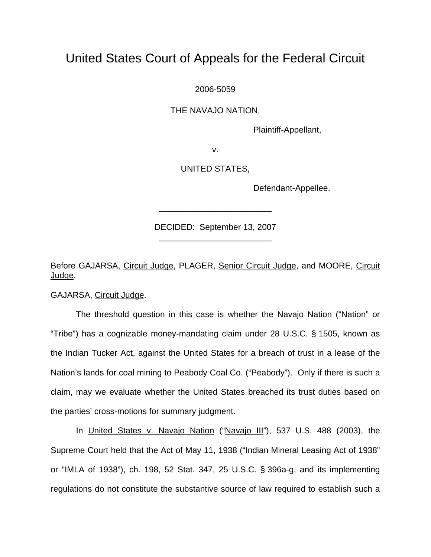# United States Court of Appeals for the Federal Circuit

2006-5059

THE NAVAJO NATION,

Plaintiff-Appellant,

v.

UNITED STATES,

Defendant-Appellee.

DECIDED: September 13, 2007 \_\_\_\_\_\_\_\_\_\_\_\_\_\_\_\_\_\_\_\_\_\_\_\_

\_\_\_\_\_\_\_\_\_\_\_\_\_\_\_\_\_\_\_\_\_\_\_\_

Before GAJARSA, Circuit Judge, PLAGER, Senior Circuit Judge, and MOORE, Circuit Judge.

GAJARSA, Circuit Judge.

The threshold question in this case is whether the Navajo Nation ("Nation" or "Tribe") has a cognizable money-mandating claim under 28 U.S.C. § 1505, known as the Indian Tucker Act, against the United States for a breach of trust in a lease of the Nation's lands for coal mining to Peabody Coal Co. ("Peabody"). Only if there is such a claim, may we evaluate whether the United States breached its trust duties based on the parties' cross-motions for summary judgment.

In United States v. Navajo Nation ("Navajo III"), 537 U.S. 488 (2003), the Supreme Court held that the Act of May 11, 1938 ("Indian Mineral Leasing Act of 1938" or "IMLA of 1938"), ch. 198, 52 Stat. 347, 25 U.S.C. § 396a-g, and its implementing regulations do not constitute the substantive source of law required to establish such a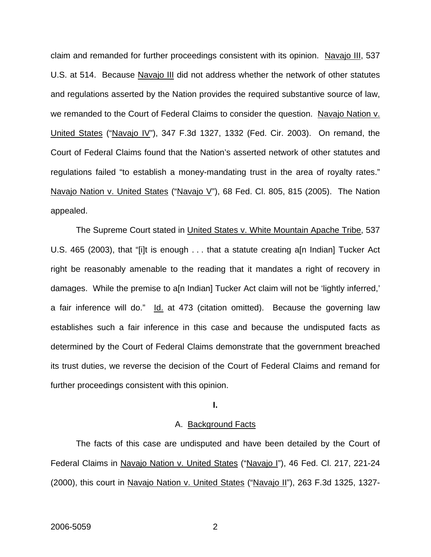claim and remanded for further proceedings consistent with its opinion. Navajo III, 537 U.S. at 514. Because Navajo III did not address whether the network of other statutes and regulations asserted by the Nation provides the required substantive source of law, we remanded to the Court of Federal Claims to consider the question. Navajo Nation v. United States ("Navajo IV"), 347 F.3d 1327, 1332 (Fed. Cir. 2003). On remand, the Court of Federal Claims found that the Nation's asserted network of other statutes and regulations failed "to establish a money-mandating trust in the area of royalty rates." Navajo Nation v. United States ("Navajo V"), 68 Fed. Cl. 805, 815 (2005). The Nation appealed.

The Supreme Court stated in United States v. White Mountain Apache Tribe, 537 U.S. 465 (2003), that "[i]t is enough . . . that a statute creating a[n Indian] Tucker Act right be reasonably amenable to the reading that it mandates a right of recovery in damages. While the premise to a[n Indian] Tucker Act claim will not be 'lightly inferred,' a fair inference will do." Id. at 473 (citation omitted). Because the governing law establishes such a fair inference in this case and because the undisputed facts as determined by the Court of Federal Claims demonstrate that the government breached its trust duties, we reverse the decision of the Court of Federal Claims and remand for further proceedings consistent with this opinion.

# **I.**

## A. Background Facts

 The facts of this case are undisputed and have been detailed by the Court of Federal Claims in Navajo Nation v. United States ("Navajo I"), 46 Fed. Cl. 217, 221-24 (2000), this court in Navajo Nation v. United States ("Navajo II"), 263 F.3d 1325, 1327-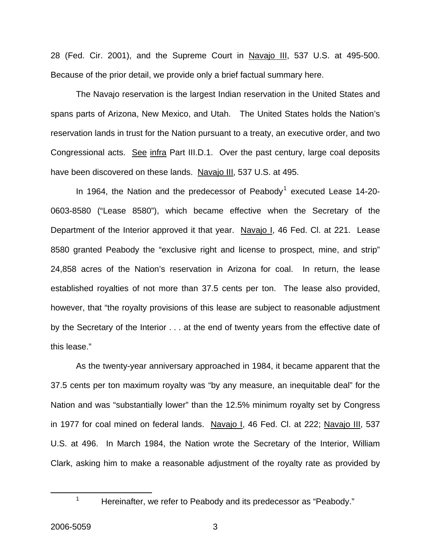28 (Fed. Cir. 2001), and the Supreme Court in Navajo III, 537 U.S. at 495-500. Because of the prior detail, we provide only a brief factual summary here.

 The Navajo reservation is the largest Indian reservation in the United States and spans parts of Arizona, New Mexico, and Utah. The United States holds the Nation's reservation lands in trust for the Nation pursuant to a treaty, an executive order, and two Congressional acts. See infra Part III.D.1. Over the past century, large coal deposits have been discovered on these lands. Navajo III, 537 U.S. at 495.

In [1](#page-3-0)964, the Nation and the predecessor of Peabody<sup>1</sup> executed Lease 14-20-0603-8580 ("Lease 8580"), which became effective when the Secretary of the Department of the Interior approved it that year. Navajo I, 46 Fed. Cl. at 221. Lease 8580 granted Peabody the "exclusive right and license to prospect, mine, and strip" 24,858 acres of the Nation's reservation in Arizona for coal. In return, the lease established royalties of not more than 37.5 cents per ton. The lease also provided, however, that "the royalty provisions of this lease are subject to reasonable adjustment by the Secretary of the Interior . . . at the end of twenty years from the effective date of this lease."

 As the twenty-year anniversary approached in 1984, it became apparent that the 37.5 cents per ton maximum royalty was "by any measure, an inequitable deal" for the Nation and was "substantially lower" than the 12.5% minimum royalty set by Congress in 1977 for coal mined on federal lands. Navajo I, 46 Fed. Cl. at 222; Navajo III, 537 U.S. at 496. In March 1984, the Nation wrote the Secretary of the Interior, William Clark, asking him to make a reasonable adjustment of the royalty rate as provided by

<span id="page-3-0"></span>1

<sup>&</sup>lt;sup>1</sup> Hereinafter, we refer to Peabody and its predecessor as "Peabody."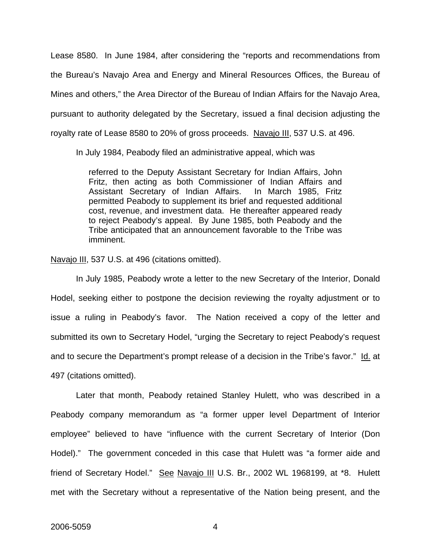Lease 8580. In June 1984, after considering the "reports and recommendations from the Bureau's Navajo Area and Energy and Mineral Resources Offices, the Bureau of Mines and others," the Area Director of the Bureau of Indian Affairs for the Navajo Area, pursuant to authority delegated by the Secretary, issued a final decision adjusting the royalty rate of Lease 8580 to 20% of gross proceeds. Navajo III, 537 U.S. at 496.

In July 1984, Peabody filed an administrative appeal, which was

referred to the Deputy Assistant Secretary for Indian Affairs, John Fritz, then acting as both Commissioner of Indian Affairs and Assistant Secretary of Indian Affairs. In March 1985, Fritz permitted Peabody to supplement its brief and requested additional cost, revenue, and investment data. He thereafter appeared ready to reject Peabody's appeal. By June 1985, both Peabody and the Tribe anticipated that an announcement favorable to the Tribe was imminent.

Navajo III, 537 U.S. at 496 (citations omitted).

In July 1985, Peabody wrote a letter to the new Secretary of the Interior, Donald Hodel, seeking either to postpone the decision reviewing the royalty adjustment or to issue a ruling in Peabody's favor. The Nation received a copy of the letter and submitted its own to Secretary Hodel, "urging the Secretary to reject Peabody's request and to secure the Department's prompt release of a decision in the Tribe's favor." Id. at 497 (citations omitted).

Later that month, Peabody retained Stanley Hulett, who was described in a Peabody company memorandum as "a former upper level Department of Interior employee" believed to have "influence with the current Secretary of Interior (Don Hodel)." The government conceded in this case that Hulett was "a former aide and friend of Secretary Hodel." See Navajo III U.S. Br., 2002 WL 1968199, at \*8. Hulett met with the Secretary without a representative of the Nation being present, and the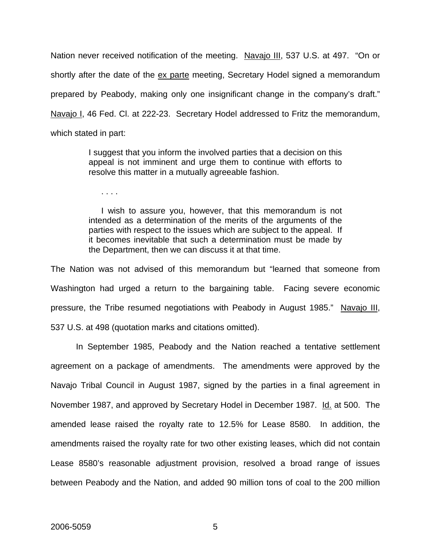Nation never received notification of the meeting. Navajo III, 537 U.S. at 497. "On or shortly after the date of the ex parte meeting, Secretary Hodel signed a memorandum prepared by Peabody, making only one insignificant change in the company's draft." Navajo I, 46 Fed. Cl. at 222-23. Secretary Hodel addressed to Fritz the memorandum, which stated in part:

> I suggest that you inform the involved parties that a decision on this appeal is not imminent and urge them to continue with efforts to resolve this matter in a mutually agreeable fashion.

. . . .

I wish to assure you, however, that this memorandum is not intended as a determination of the merits of the arguments of the parties with respect to the issues which are subject to the appeal. If it becomes inevitable that such a determination must be made by the Department, then we can discuss it at that time.

The Nation was not advised of this memorandum but "learned that someone from Washington had urged a return to the bargaining table. Facing severe economic pressure, the Tribe resumed negotiations with Peabody in August 1985." Navajo III, 537 U.S. at 498 (quotation marks and citations omitted).

 In September 1985, Peabody and the Nation reached a tentative settlement agreement on a package of amendments. The amendments were approved by the Navajo Tribal Council in August 1987, signed by the parties in a final agreement in November 1987, and approved by Secretary Hodel in December 1987. Id. at 500. The amended lease raised the royalty rate to 12.5% for Lease 8580. In addition, the amendments raised the royalty rate for two other existing leases, which did not contain Lease 8580's reasonable adjustment provision, resolved a broad range of issues between Peabody and the Nation, and added 90 million tons of coal to the 200 million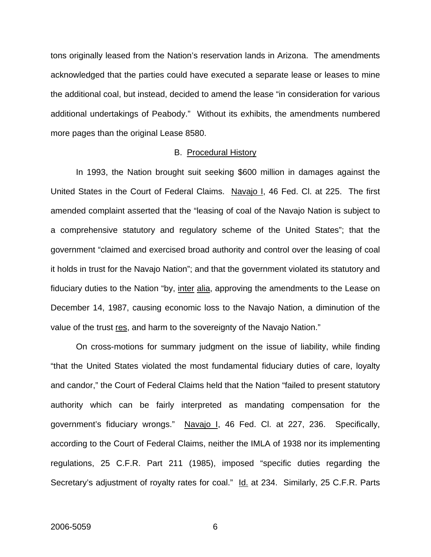tons originally leased from the Nation's reservation lands in Arizona. The amendments acknowledged that the parties could have executed a separate lease or leases to mine the additional coal, but instead, decided to amend the lease "in consideration for various additional undertakings of Peabody." Without its exhibits, the amendments numbered more pages than the original Lease 8580.

#### B. Procedural History

 In 1993, the Nation brought suit seeking \$600 million in damages against the United States in the Court of Federal Claims. Navajo I, 46 Fed. Cl. at 225. The first amended complaint asserted that the "leasing of coal of the Navajo Nation is subject to a comprehensive statutory and regulatory scheme of the United States"; that the government "claimed and exercised broad authority and control over the leasing of coal it holds in trust for the Navajo Nation"; and that the government violated its statutory and fiduciary duties to the Nation "by, inter alia, approving the amendments to the Lease on December 14, 1987, causing economic loss to the Navajo Nation, a diminution of the value of the trust res, and harm to the sovereignty of the Navajo Nation."

 On cross-motions for summary judgment on the issue of liability, while finding "that the United States violated the most fundamental fiduciary duties of care, loyalty and candor," the Court of Federal Claims held that the Nation "failed to present statutory authority which can be fairly interpreted as mandating compensation for the government's fiduciary wrongs." Navajo I, 46 Fed. Cl. at 227, 236. Specifically, according to the Court of Federal Claims, neither the IMLA of 1938 nor its implementing regulations, 25 C.F.R. Part 211 (1985), imposed "specific duties regarding the Secretary's adjustment of royalty rates for coal." Id. at 234. Similarly, 25 C.F.R. Parts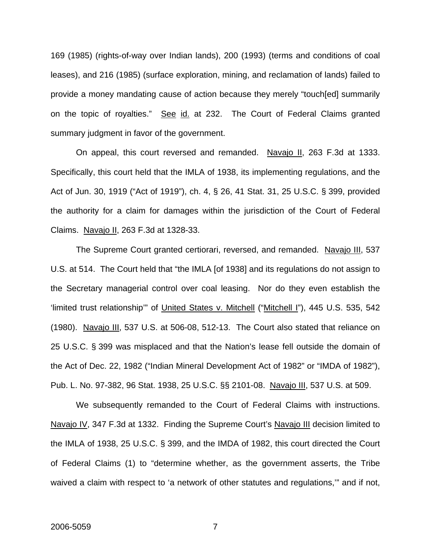169 (1985) (rights-of-way over Indian lands), 200 (1993) (terms and conditions of coal leases), and 216 (1985) (surface exploration, mining, and reclamation of lands) failed to provide a money mandating cause of action because they merely "touch[ed] summarily on the topic of royalties." See id. at 232. The Court of Federal Claims granted summary judgment in favor of the government.

On appeal, this court reversed and remanded. Navajo II, 263 F.3d at 1333. Specifically, this court held that the IMLA of 1938, its implementing regulations, and the Act of Jun. 30, 1919 ("Act of 1919"), ch. 4, § 26, 41 Stat. 31, 25 U.S.C. § 399, provided the authority for a claim for damages within the jurisdiction of the Court of Federal Claims. Navajo II, 263 F.3d at 1328-33.

The Supreme Court granted certiorari, reversed, and remanded. Navajo III, 537 U.S. at 514. The Court held that "the IMLA [of 1938] and its regulations do not assign to the Secretary managerial control over coal leasing. Nor do they even establish the 'limited trust relationship" of United States v. Mitchell ("Mitchell I"), 445 U.S. 535, 542 (1980). Navajo III, 537 U.S. at 506-08, 512-13. The Court also stated that reliance on 25 U.S.C. § 399 was misplaced and that the Nation's lease fell outside the domain of the Act of Dec. 22, 1982 ("Indian Mineral Development Act of 1982" or "IMDA of 1982"), Pub. L. No. 97-382, 96 Stat. 1938, 25 U.S.C. §§ 2101-08. Navajo III, 537 U.S. at 509.

 We subsequently remanded to the Court of Federal Claims with instructions. Navajo IV, 347 F.3d at 1332. Finding the Supreme Court's Navajo III decision limited to the IMLA of 1938, 25 U.S.C. § 399, and the IMDA of 1982, this court directed the Court of Federal Claims (1) to "determine whether, as the government asserts, the Tribe waived a claim with respect to 'a network of other statutes and regulations,'" and if not,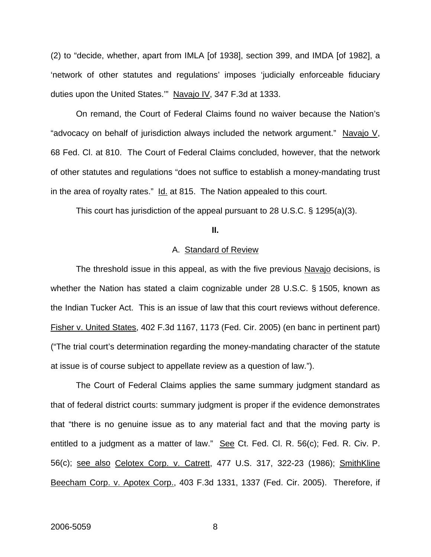(2) to "decide, whether, apart from IMLA [of 1938], section 399, and IMDA [of 1982], a 'network of other statutes and regulations' imposes 'judicially enforceable fiduciary duties upon the United States." Navajo IV, 347 F.3d at 1333.

 On remand, the Court of Federal Claims found no waiver because the Nation's "advocacy on behalf of jurisdiction always included the network argument." Navajo V, 68 Fed. Cl. at 810. The Court of Federal Claims concluded, however, that the network of other statutes and regulations "does not suffice to establish a money-mandating trust in the area of royalty rates." Id. at 815. The Nation appealed to this court.

This court has jurisdiction of the appeal pursuant to 28 U.S.C. § 1295(a)(3).

**II.** 

#### A. Standard of Review

The threshold issue in this appeal, as with the five previous Navajo decisions, is whether the Nation has stated a claim cognizable under 28 U.S.C. § 1505, known as the Indian Tucker Act. This is an issue of law that this court reviews without deference. Fisher v. United States, 402 F.3d 1167, 1173 (Fed. Cir. 2005) (en banc in pertinent part) ("The trial court's determination regarding the money-mandating character of the statute at issue is of course subject to appellate review as a question of law.").

The Court of Federal Claims applies the same summary judgment standard as that of federal district courts: summary judgment is proper if the evidence demonstrates that "there is no genuine issue as to any material fact and that the moving party is entitled to a judgment as a matter of law." See Ct. Fed. Cl. R. 56(c); Fed. R. Civ. P. 56(c); see also Celotex Corp. v. Catrett, 477 U.S. 317, 322-23 (1986); SmithKline Beecham Corp. v. Apotex Corp., 403 F.3d 1331, 1337 (Fed. Cir. 2005). Therefore, if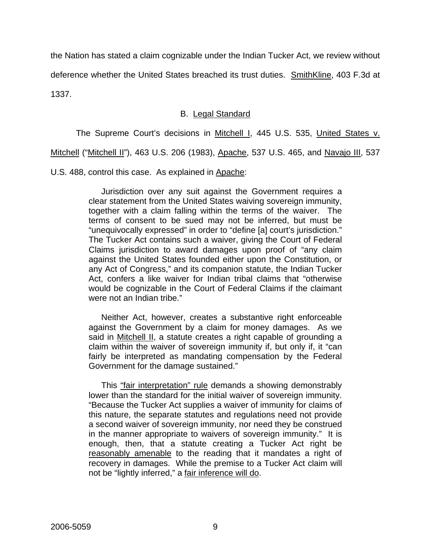the Nation has stated a claim cognizable under the Indian Tucker Act, we review without

deference whether the United States breached its trust duties. SmithKline, 403 F.3d at

1337.

# B. Legal Standard

The Supreme Court's decisions in Mitchell I, 445 U.S. 535, United States v.

Mitchell ("Mitchell II"), 463 U.S. 206 (1983), Apache, 537 U.S. 465, and Navajo III, 537

U.S. 488, control this case. As explained in Apache:

Jurisdiction over any suit against the Government requires a clear statement from the United States waiving sovereign immunity, together with a claim falling within the terms of the waiver. The terms of consent to be sued may not be inferred, but must be "unequivocally expressed" in order to "define [a] court's jurisdiction." The Tucker Act contains such a waiver, giving the Court of Federal Claims jurisdiction to award damages upon proof of "any claim against the United States founded either upon the Constitution, or any Act of Congress," and its companion statute, the Indian Tucker Act, confers a like waiver for Indian tribal claims that "otherwise would be cognizable in the Court of Federal Claims if the claimant were not an Indian tribe."

Neither Act, however, creates a substantive right enforceable against the Government by a claim for money damages. As we said in Mitchell II, a statute creates a right capable of grounding a claim within the waiver of sovereign immunity if, but only if, it "can fairly be interpreted as mandating compensation by the Federal Government for the damage sustained."

This "fair interpretation" rule demands a showing demonstrably lower than the standard for the initial waiver of sovereign immunity. "Because the Tucker Act supplies a waiver of immunity for claims of this nature, the separate statutes and regulations need not provide a second waiver of sovereign immunity, nor need they be construed in the manner appropriate to waivers of sovereign immunity." It is enough, then, that a statute creating a Tucker Act right be reasonably amenable to the reading that it mandates a right of recovery in damages. While the premise to a Tucker Act claim will not be "lightly inferred," a fair inference will do.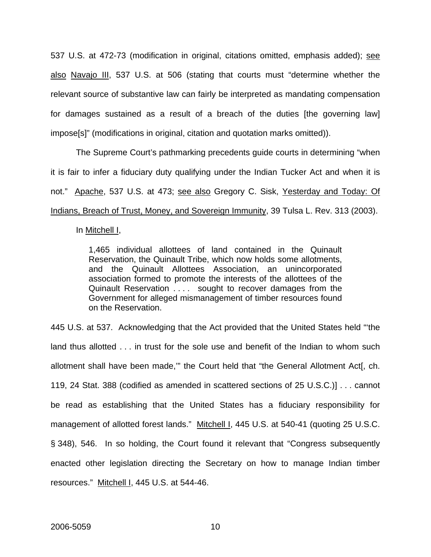537 U.S. at 472-73 (modification in original, citations omitted, emphasis added); see also Navajo III, 537 U.S. at 506 (stating that courts must "determine whether the relevant source of substantive law can fairly be interpreted as mandating compensation for damages sustained as a result of a breach of the duties [the governing law] impose[s]" (modifications in original, citation and quotation marks omitted)).

 The Supreme Court's pathmarking precedents guide courts in determining "when it is fair to infer a fiduciary duty qualifying under the Indian Tucker Act and when it is not." Apache, 537 U.S. at 473; see also Gregory C. Sisk, Yesterday and Today: Of Indians, Breach of Trust, Money, and Sovereign Immunity, 39 Tulsa L. Rev. 313 (2003).

#### In Mitchell I,

1,465 individual allottees of land contained in the Quinault Reservation, the Quinault Tribe, which now holds some allotments, and the Quinault Allottees Association, an unincorporated association formed to promote the interests of the allottees of the Quinault Reservation . . . . sought to recover damages from the Government for alleged mismanagement of timber resources found on the Reservation.

445 U.S. at 537. Acknowledging that the Act provided that the United States held "'the land thus allotted . . . in trust for the sole use and benefit of the Indian to whom such allotment shall have been made,'" the Court held that "the General Allotment Act[, ch. 119, 24 Stat. 388 (codified as amended in scattered sections of 25 U.S.C.)] . . . cannot be read as establishing that the United States has a fiduciary responsibility for management of allotted forest lands." Mitchell I, 445 U.S. at 540-41 (quoting 25 U.S.C. § 348), 546. In so holding, the Court found it relevant that "Congress subsequently enacted other legislation directing the Secretary on how to manage Indian timber resources." Mitchell I, 445 U.S. at 544-46.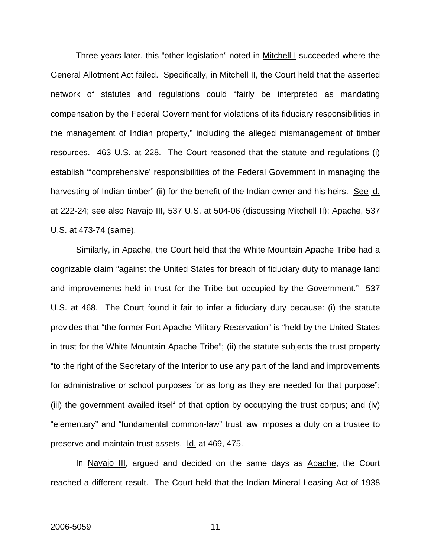Three years later, this "other legislation" noted in Mitchell I succeeded where the General Allotment Act failed. Specifically, in Mitchell II, the Court held that the asserted network of statutes and regulations could "fairly be interpreted as mandating compensation by the Federal Government for violations of its fiduciary responsibilities in the management of Indian property," including the alleged mismanagement of timber resources. 463 U.S. at 228. The Court reasoned that the statute and regulations (i) establish "'comprehensive' responsibilities of the Federal Government in managing the harvesting of Indian timber" (ii) for the benefit of the Indian owner and his heirs. See id. at 222-24; see also Navajo III, 537 U.S. at 504-06 (discussing Mitchell II); Apache, 537 U.S. at 473-74 (same).

 Similarly, in Apache, the Court held that the White Mountain Apache Tribe had a cognizable claim "against the United States for breach of fiduciary duty to manage land and improvements held in trust for the Tribe but occupied by the Government." 537 U.S. at 468. The Court found it fair to infer a fiduciary duty because: (i) the statute provides that "the former Fort Apache Military Reservation" is "held by the United States in trust for the White Mountain Apache Tribe"; (ii) the statute subjects the trust property "to the right of the Secretary of the Interior to use any part of the land and improvements for administrative or school purposes for as long as they are needed for that purpose"; (iii) the government availed itself of that option by occupying the trust corpus; and (iv) "elementary" and "fundamental common-law" trust law imposes a duty on a trustee to preserve and maintain trust assets. Id. at 469, 475.

In Navajo III, argued and decided on the same days as Apache, the Court reached a different result. The Court held that the Indian Mineral Leasing Act of 1938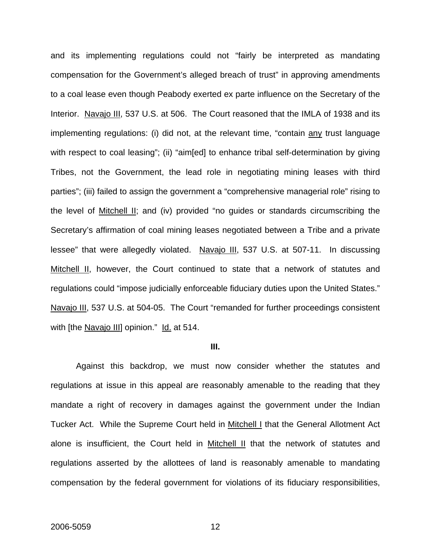and its implementing regulations could not "fairly be interpreted as mandating compensation for the Government's alleged breach of trust" in approving amendments to a coal lease even though Peabody exerted ex parte influence on the Secretary of the Interior. Navajo III, 537 U.S. at 506. The Court reasoned that the IMLA of 1938 and its implementing regulations: (i) did not, at the relevant time, "contain any trust language with respect to coal leasing"; (ii) "aim[ed] to enhance tribal self-determination by giving Tribes, not the Government, the lead role in negotiating mining leases with third parties"; (iii) failed to assign the government a "comprehensive managerial role" rising to the level of Mitchell II; and (iv) provided "no guides or standards circumscribing the Secretary's affirmation of coal mining leases negotiated between a Tribe and a private lessee" that were allegedly violated. Navajo III, 537 U.S. at 507-11. In discussing Mitchell II, however, the Court continued to state that a network of statutes and regulations could "impose judicially enforceable fiduciary duties upon the United States." Navajo III, 537 U.S. at 504-05. The Court "remanded for further proceedings consistent with [the Navajo III] opinion." Id. at 514.

#### **III.**

 Against this backdrop, we must now consider whether the statutes and regulations at issue in this appeal are reasonably amenable to the reading that they mandate a right of recovery in damages against the government under the Indian Tucker Act. While the Supreme Court held in Mitchell I that the General Allotment Act alone is insufficient, the Court held in Mitchell II that the network of statutes and regulations asserted by the allottees of land is reasonably amenable to mandating compensation by the federal government for violations of its fiduciary responsibilities,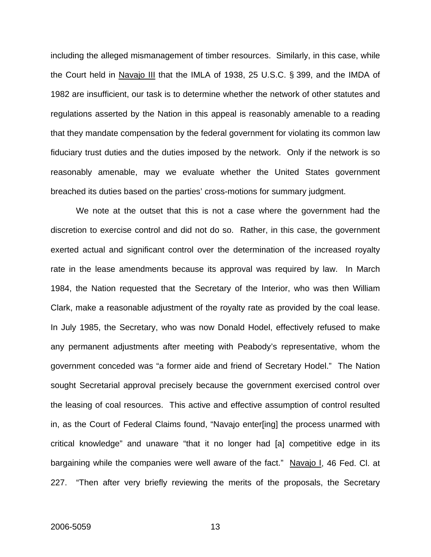including the alleged mismanagement of timber resources. Similarly, in this case, while the Court held in Navajo III that the IMLA of 1938, 25 U.S.C. § 399, and the IMDA of 1982 are insufficient, our task is to determine whether the network of other statutes and regulations asserted by the Nation in this appeal is reasonably amenable to a reading that they mandate compensation by the federal government for violating its common law fiduciary trust duties and the duties imposed by the network. Only if the network is so reasonably amenable, may we evaluate whether the United States government breached its duties based on the parties' cross-motions for summary judgment.

 We note at the outset that this is not a case where the government had the discretion to exercise control and did not do so. Rather, in this case, the government exerted actual and significant control over the determination of the increased royalty rate in the lease amendments because its approval was required by law. In March 1984, the Nation requested that the Secretary of the Interior, who was then William Clark, make a reasonable adjustment of the royalty rate as provided by the coal lease. In July 1985, the Secretary, who was now Donald Hodel, effectively refused to make any permanent adjustments after meeting with Peabody's representative, whom the government conceded was "a former aide and friend of Secretary Hodel." The Nation sought Secretarial approval precisely because the government exercised control over the leasing of coal resources. This active and effective assumption of control resulted in, as the Court of Federal Claims found, "Navajo enter[ing] the process unarmed with critical knowledge" and unaware "that it no longer had [a] competitive edge in its bargaining while the companies were well aware of the fact." Navajo I, 46 Fed. Cl. at 227. "Then after very briefly reviewing the merits of the proposals, the Secretary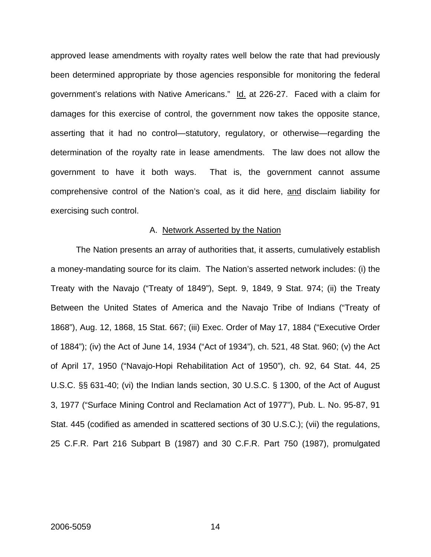approved lease amendments with royalty rates well below the rate that had previously been determined appropriate by those agencies responsible for monitoring the federal government's relations with Native Americans." Id. at 226-27. Faced with a claim for damages for this exercise of control, the government now takes the opposite stance, asserting that it had no control—statutory, regulatory, or otherwise—regarding the determination of the royalty rate in lease amendments. The law does not allow the government to have it both ways. That is, the government cannot assume comprehensive control of the Nation's coal, as it did here, and disclaim liability for exercising such control.

#### A. Network Asserted by the Nation

The Nation presents an array of authorities that, it asserts, cumulatively establish a money-mandating source for its claim. The Nation's asserted network includes: (i) the Treaty with the Navajo ("Treaty of 1849"), Sept. 9, 1849, 9 Stat. 974; (ii) the Treaty Between the United States of America and the Navajo Tribe of Indians ("Treaty of 1868"), Aug. 12, 1868, 15 Stat. 667; (iii) Exec. Order of May 17, 1884 ("Executive Order of 1884"); (iv) the Act of June 14, 1934 ("Act of 1934"), ch. 521, 48 Stat. 960; (v) the Act of April 17, 1950 ("Navajo-Hopi Rehabilitation Act of 1950"), ch. 92, 64 Stat. 44, 25 U.S.C. §§ 631-40; (vi) the Indian lands section, 30 U.S.C. § 1300, of the Act of August 3, 1977 ("Surface Mining Control and Reclamation Act of 1977"), Pub. L. No. 95-87, 91 Stat. 445 (codified as amended in scattered sections of 30 U.S.C.); (vii) the regulations, 25 C.F.R. Part 216 Subpart B (1987) and 30 C.F.R. Part 750 (1987), promulgated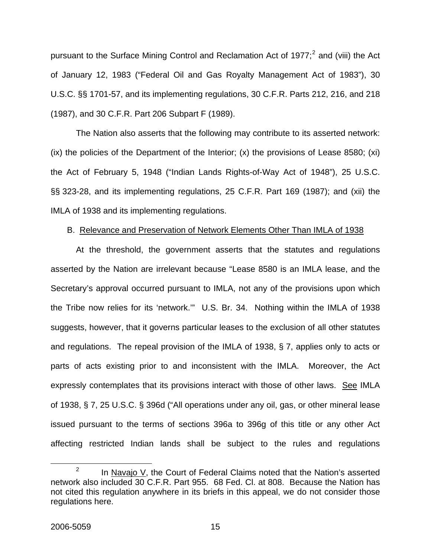pursuant to the Surface Mining Control and Reclamation Act of 1977;<sup>[2](#page-15-0)</sup> and (viii) the Act of January 12, 1983 ("Federal Oil and Gas Royalty Management Act of 1983"), 30 U.S.C. §§ 1701-57, and its implementing regulations, 30 C.F.R. Parts 212, 216, and 218 (1987), and 30 C.F.R. Part 206 Subpart F (1989).

 The Nation also asserts that the following may contribute to its asserted network: (ix) the policies of the Department of the Interior; (x) the provisions of Lease 8580; (xi) the Act of February 5, 1948 ("Indian Lands Rights-of-Way Act of 1948"), 25 U.S.C. §§ 323-28, and its implementing regulations, 25 C.F.R. Part 169 (1987); and (xii) the IMLA of 1938 and its implementing regulations.

## B. Relevance and Preservation of Network Elements Other Than IMLA of 1938

 At the threshold, the government asserts that the statutes and regulations asserted by the Nation are irrelevant because "Lease 8580 is an IMLA lease, and the Secretary's approval occurred pursuant to IMLA, not any of the provisions upon which the Tribe now relies for its 'network.'" U.S. Br. 34. Nothing within the IMLA of 1938 suggests, however, that it governs particular leases to the exclusion of all other statutes and regulations. The repeal provision of the IMLA of 1938, § 7, applies only to acts or parts of acts existing prior to and inconsistent with the IMLA. Moreover, the Act expressly contemplates that its provisions interact with those of other laws. See IMLA of 1938, § 7, 25 U.S.C. § 396d ("All operations under any oil, gas, or other mineral lease issued pursuant to the terms of sections 396a to 396g of this title or any other Act affecting restricted Indian lands shall be subject to the rules and regulations

<span id="page-15-0"></span> $\frac{1}{2}$  $1<sup>2</sup>$  In Navajo V, the Court of Federal Claims noted that the Nation's asserted network also included 30 C.F.R. Part 955. 68 Fed. Cl. at 808. Because the Nation has not cited this regulation anywhere in its briefs in this appeal, we do not consider those regulations here.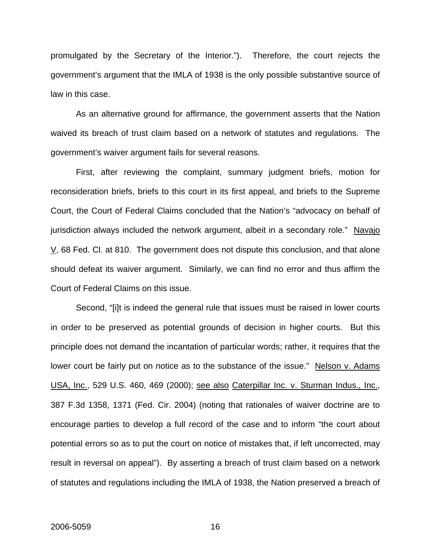promulgated by the Secretary of the Interior."). Therefore, the court rejects the government's argument that the IMLA of 1938 is the only possible substantive source of law in this case.

As an alternative ground for affirmance, the government asserts that the Nation waived its breach of trust claim based on a network of statutes and regulations. The government's waiver argument fails for several reasons.

First, after reviewing the complaint, summary judgment briefs, motion for reconsideration briefs, briefs to this court in its first appeal, and briefs to the Supreme Court, the Court of Federal Claims concluded that the Nation's "advocacy on behalf of jurisdiction always included the network argument, albeit in a secondary role." Navajo  $\underline{V}$ , 68 Fed. Cl. at 810. The government does not dispute this conclusion, and that alone should defeat its waiver argument. Similarly, we can find no error and thus affirm the Court of Federal Claims on this issue.

Second, "[i]t is indeed the general rule that issues must be raised in lower courts in order to be preserved as potential grounds of decision in higher courts. But this principle does not demand the incantation of particular words; rather, it requires that the lower court be fairly put on notice as to the substance of the issue." Nelson v. Adams USA, Inc., 529 U.S. 460, 469 (2000); see also Caterpillar Inc. v. Sturman Indus., Inc., 387 F.3d 1358, 1371 (Fed. Cir. 2004) (noting that rationales of waiver doctrine are to encourage parties to develop a full record of the case and to inform "the court about potential errors so as to put the court on notice of mistakes that, if left uncorrected, may result in reversal on appeal"). By asserting a breach of trust claim based on a network of statutes and regulations including the IMLA of 1938, the Nation preserved a breach of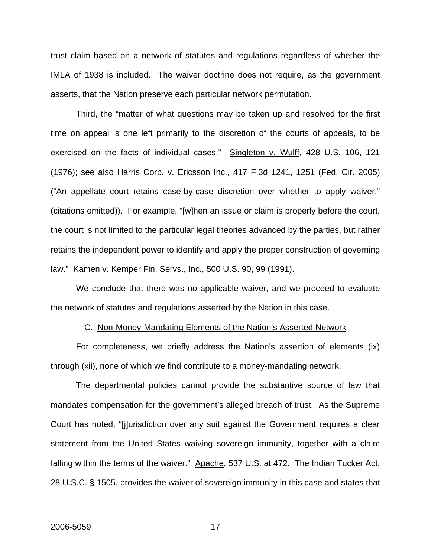trust claim based on a network of statutes and regulations regardless of whether the IMLA of 1938 is included. The waiver doctrine does not require, as the government asserts, that the Nation preserve each particular network permutation.

Third, the "matter of what questions may be taken up and resolved for the first time on appeal is one left primarily to the discretion of the courts of appeals, to be exercised on the facts of individual cases." Singleton v. Wulff, 428 U.S. 106, 121 (1976); see also Harris Corp. v. Ericsson Inc., 417 F.3d 1241, 1251 (Fed. Cir. 2005) ("An appellate court retains case-by-case discretion over whether to apply waiver." (citations omitted)). For example, "[w]hen an issue or claim is properly before the court, the court is not limited to the particular legal theories advanced by the parties, but rather retains the independent power to identify and apply the proper construction of governing law." Kamen v. Kemper Fin. Servs., Inc., 500 U.S. 90, 99 (1991).

We conclude that there was no applicable waiver, and we proceed to evaluate the network of statutes and regulations asserted by the Nation in this case.

#### C. Non-Money-Mandating Elements of the Nation's Asserted Network

For completeness, we briefly address the Nation's assertion of elements (ix) through (xii), none of which we find contribute to a money-mandating network.

The departmental policies cannot provide the substantive source of law that mandates compensation for the government's alleged breach of trust. As the Supreme Court has noted, "[j]urisdiction over any suit against the Government requires a clear statement from the United States waiving sovereign immunity, together with a claim falling within the terms of the waiver." Apache, 537 U.S. at 472. The Indian Tucker Act, 28 U.S.C. § 1505, provides the waiver of sovereign immunity in this case and states that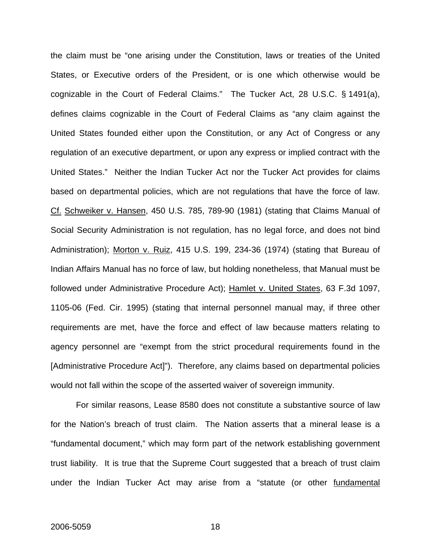the claim must be "one arising under the Constitution, laws or treaties of the United States, or Executive orders of the President, or is one which otherwise would be cognizable in the Court of Federal Claims." The Tucker Act, 28 U.S.C. § 1491(a), defines claims cognizable in the Court of Federal Claims as "any claim against the United States founded either upon the Constitution, or any Act of Congress or any regulation of an executive department, or upon any express or implied contract with the United States." Neither the Indian Tucker Act nor the Tucker Act provides for claims based on departmental policies, which are not regulations that have the force of law. Cf. Schweiker v. Hansen, 450 U.S. 785, 789-90 (1981) (stating that Claims Manual of Social Security Administration is not regulation, has no legal force, and does not bind Administration); Morton v. Ruiz, 415 U.S. 199, 234-36 (1974) (stating that Bureau of Indian Affairs Manual has no force of law, but holding nonetheless, that Manual must be followed under Administrative Procedure Act); Hamlet v. United States, 63 F.3d 1097, 1105-06 (Fed. Cir. 1995) (stating that internal personnel manual may, if three other requirements are met, have the force and effect of law because matters relating to agency personnel are "exempt from the strict procedural requirements found in the [Administrative Procedure Act]"). Therefore, any claims based on departmental policies would not fall within the scope of the asserted waiver of sovereign immunity.

 For similar reasons, Lease 8580 does not constitute a substantive source of law for the Nation's breach of trust claim. The Nation asserts that a mineral lease is a "fundamental document," which may form part of the network establishing government trust liability. It is true that the Supreme Court suggested that a breach of trust claim under the Indian Tucker Act may arise from a "statute (or other fundamental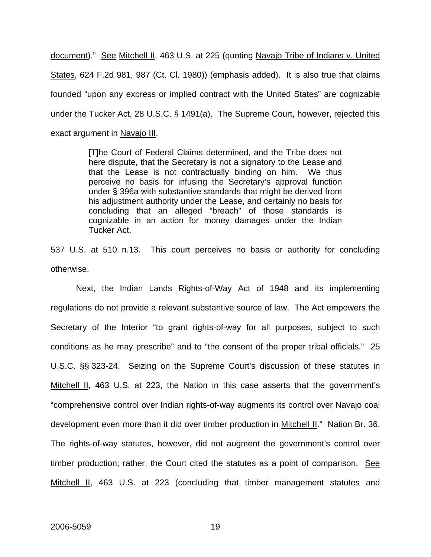document)." See Mitchell II, 463 U.S. at 225 (quoting Navajo Tribe of Indians v. United States, 624 F.2d 981, 987 (Ct. Cl. 1980)) (emphasis added). It is also true that claims founded "upon any express or implied contract with the United States" are cognizable under the Tucker Act, 28 U.S.C. § 1491(a). The Supreme Court, however, rejected this exact argument in Navajo III.

> [T]he Court of Federal Claims determined, and the Tribe does not here dispute, that the Secretary is not a signatory to the Lease and that the Lease is not contractually binding on him. We thus perceive no basis for infusing the Secretary's approval function under § 396a with substantive standards that might be derived from his adjustment authority under the Lease, and certainly no basis for concluding that an alleged "breach" of those standards is cognizable in an action for money damages under the Indian Tucker Act.

537 U.S. at 510 n.13. This court perceives no basis or authority for concluding otherwise.

 Next, the Indian Lands Rights-of-Way Act of 1948 and its implementing regulations do not provide a relevant substantive source of law. The Act empowers the Secretary of the Interior "to grant rights-of-way for all purposes, subject to such conditions as he may prescribe" and to "the consent of the proper tribal officials." 25 U.S.C. §§ 323-24. Seizing on the Supreme Court's discussion of these statutes in Mitchell II, 463 U.S. at 223, the Nation in this case asserts that the government's "comprehensive control over Indian rights-of-way augments its control over Navajo coal development even more than it did over timber production in Mitchell II." Nation Br. 36. The rights-of-way statutes, however, did not augment the government's control over timber production; rather, the Court cited the statutes as a point of comparison. See Mitchell II, 463 U.S. at 223 (concluding that timber management statutes and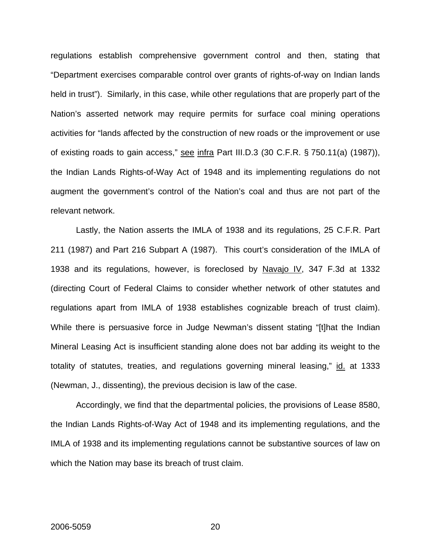regulations establish comprehensive government control and then, stating that "Department exercises comparable control over grants of rights-of-way on Indian lands held in trust"). Similarly, in this case, while other regulations that are properly part of the Nation's asserted network may require permits for surface coal mining operations activities for "lands affected by the construction of new roads or the improvement or use of existing roads to gain access," see infra Part III.D.3 (30 C.F.R. § 750.11(a) (1987)), the Indian Lands Rights-of-Way Act of 1948 and its implementing regulations do not augment the government's control of the Nation's coal and thus are not part of the relevant network.

Lastly, the Nation asserts the IMLA of 1938 and its regulations, 25 C.F.R. Part 211 (1987) and Part 216 Subpart A (1987). This court's consideration of the IMLA of 1938 and its regulations, however, is foreclosed by Navajo IV, 347 F.3d at 1332 (directing Court of Federal Claims to consider whether network of other statutes and regulations apart from IMLA of 1938 establishes cognizable breach of trust claim). While there is persuasive force in Judge Newman's dissent stating "[t]hat the Indian Mineral Leasing Act is insufficient standing alone does not bar adding its weight to the totality of statutes, treaties, and regulations governing mineral leasing," id. at 1333 (Newman, J., dissenting), the previous decision is law of the case.

Accordingly, we find that the departmental policies, the provisions of Lease 8580, the Indian Lands Rights-of-Way Act of 1948 and its implementing regulations, and the IMLA of 1938 and its implementing regulations cannot be substantive sources of law on which the Nation may base its breach of trust claim.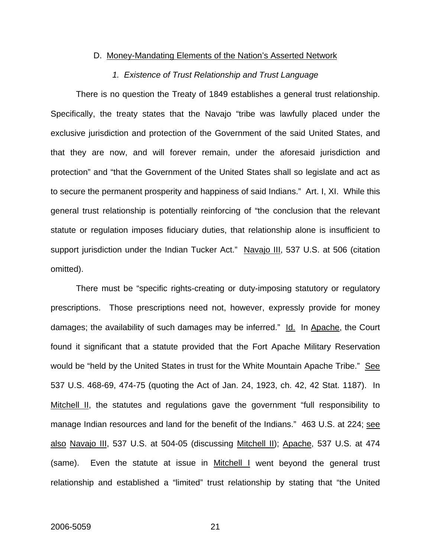#### D. Money-Mandating Elements of the Nation's Asserted Network

## *1. Existence of Trust Relationship and Trust Language*

 There is no question the Treaty of 1849 establishes a general trust relationship. Specifically, the treaty states that the Navajo "tribe was lawfully placed under the exclusive jurisdiction and protection of the Government of the said United States, and that they are now, and will forever remain, under the aforesaid jurisdiction and protection" and "that the Government of the United States shall so legislate and act as to secure the permanent prosperity and happiness of said Indians." Art. I, XI. While this general trust relationship is potentially reinforcing of "the conclusion that the relevant statute or regulation imposes fiduciary duties, that relationship alone is insufficient to support jurisdiction under the Indian Tucker Act." Navajo III, 537 U.S. at 506 (citation omitted).

 There must be "specific rights-creating or duty-imposing statutory or regulatory prescriptions. Those prescriptions need not, however, expressly provide for money damages; the availability of such damages may be inferred." Id. In Apache, the Court found it significant that a statute provided that the Fort Apache Military Reservation would be "held by the United States in trust for the White Mountain Apache Tribe." See 537 U.S. 468-69, 474-75 (quoting the Act of Jan. 24, 1923, ch. 42, 42 Stat. 1187). In Mitchell II, the statutes and regulations gave the government "full responsibility to manage Indian resources and land for the benefit of the Indians." 463 U.S. at 224; see also Navajo III, 537 U.S. at 504-05 (discussing Mitchell II); Apache, 537 U.S. at 474 (same). Even the statute at issue in Mitchell I went beyond the general trust relationship and established a "limited" trust relationship by stating that "the United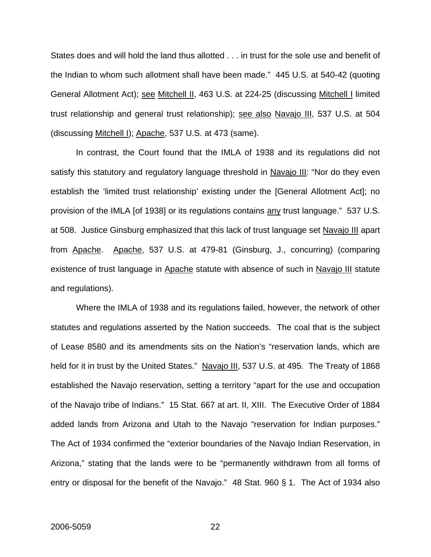States does and will hold the land thus allotted . . . in trust for the sole use and benefit of the Indian to whom such allotment shall have been made." 445 U.S. at 540-42 (quoting General Allotment Act); see Mitchell II, 463 U.S. at 224-25 (discussing Mitchell I limited trust relationship and general trust relationship); see also Navajo III, 537 U.S. at 504 (discussing Mitchell I); Apache, 537 U.S. at 473 (same).

 In contrast, the Court found that the IMLA of 1938 and its regulations did not satisfy this statutory and regulatory language threshold in Navajo III: "Nor do they even establish the 'limited trust relationship' existing under the [General Allotment Act]; no provision of the IMLA [of 1938] or its regulations contains any trust language." 537 U.S. at 508. Justice Ginsburg emphasized that this lack of trust language set Navajo III apart from Apache. Apache, 537 U.S. at 479-81 (Ginsburg, J., concurring) (comparing existence of trust language in Apache statute with absence of such in Navajo III statute and regulations).

 Where the IMLA of 1938 and its regulations failed, however, the network of other statutes and regulations asserted by the Nation succeeds. The coal that is the subject of Lease 8580 and its amendments sits on the Nation's "reservation lands, which are held for it in trust by the United States." Navajo III, 537 U.S. at 495. The Treaty of 1868 established the Navajo reservation, setting a territory "apart for the use and occupation of the Navajo tribe of Indians." 15 Stat. 667 at art. II, XIII. The Executive Order of 1884 added lands from Arizona and Utah to the Navajo "reservation for Indian purposes." The Act of 1934 confirmed the "exterior boundaries of the Navajo Indian Reservation, in Arizona," stating that the lands were to be "permanently withdrawn from all forms of entry or disposal for the benefit of the Navajo." 48 Stat. 960 § 1. The Act of 1934 also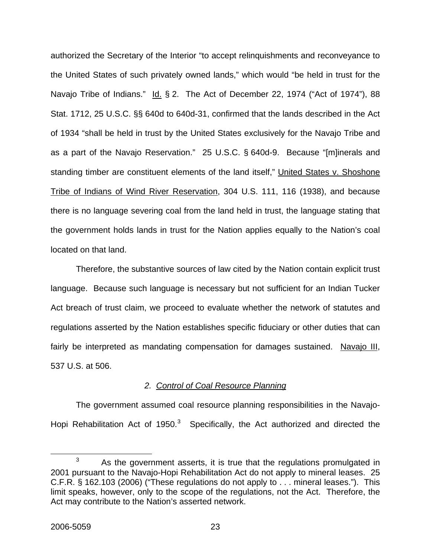authorized the Secretary of the Interior "to accept relinquishments and reconveyance to the United States of such privately owned lands," which would "be held in trust for the Navajo Tribe of Indians." Id. § 2. The Act of December 22, 1974 ("Act of 1974"), 88 Stat. 1712, 25 U.S.C. §§ 640d to 640d-31, confirmed that the lands described in the Act of 1934 "shall be held in trust by the United States exclusively for the Navajo Tribe and as a part of the Navajo Reservation." 25 U.S.C. § 640d-9. Because "[m]inerals and standing timber are constituent elements of the land itself," United States v. Shoshone Tribe of Indians of Wind River Reservation, 304 U.S. 111, 116 (1938), and because there is no language severing coal from the land held in trust, the language stating that the government holds lands in trust for the Nation applies equally to the Nation's coal located on that land.

 Therefore, the substantive sources of law cited by the Nation contain explicit trust language. Because such language is necessary but not sufficient for an Indian Tucker Act breach of trust claim, we proceed to evaluate whether the network of statutes and regulations asserted by the Nation establishes specific fiduciary or other duties that can fairly be interpreted as mandating compensation for damages sustained. Navajo III, 537 U.S. at 506.

# *2. Control of Coal Resource Planning*

The government assumed coal resource planning responsibilities in the Navajo-Hopi Rehabilitation Act of 1950. $3$  Specifically, the Act authorized and directed the

<span id="page-23-0"></span> $\overline{\phantom{a}}$  3  $3 \text{ A}s$  the government asserts, it is true that the regulations promulgated in 2001 pursuant to the Navajo-Hopi Rehabilitation Act do not apply to mineral leases. 25 C.F.R. § 162.103 (2006) ("These regulations do not apply to . . . mineral leases."). This limit speaks, however, only to the scope of the regulations, not the Act. Therefore, the Act may contribute to the Nation's asserted network.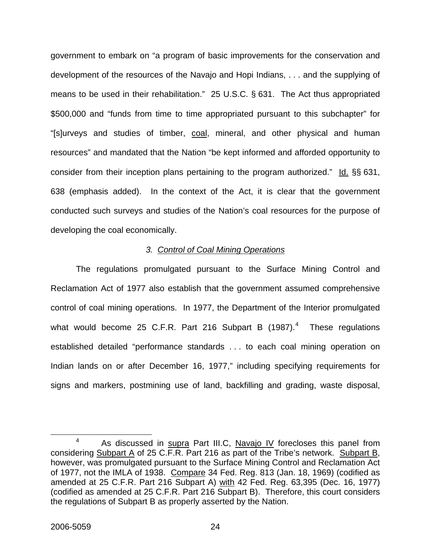government to embark on "a program of basic improvements for the conservation and development of the resources of the Navajo and Hopi Indians, . . . and the supplying of means to be used in their rehabilitation." 25 U.S.C. § 631. The Act thus appropriated \$500,000 and "funds from time to time appropriated pursuant to this subchapter" for "[s]urveys and studies of timber, coal, mineral, and other physical and human resources" and mandated that the Nation "be kept informed and afforded opportunity to consider from their inception plans pertaining to the program authorized." Id. §§ 631, 638 (emphasis added). In the context of the Act, it is clear that the government conducted such surveys and studies of the Nation's coal resources for the purpose of developing the coal economically.

## *3. Control of Coal Mining Operations*

 The regulations promulgated pursuant to the Surface Mining Control and Reclamation Act of 1977 also establish that the government assumed comprehensive control of coal mining operations. In 1977, the Department of the Interior promulgated what would become 25 C.F.R. Part 216 Subpart B  $(1987)^4$  $(1987)^4$  These regulations established detailed "performance standards . . . to each coal mining operation on Indian lands on or after December 16, 1977," including specifying requirements for signs and markers, postmining use of land, backfilling and grading, waste disposal,

<span id="page-24-0"></span> <sup>4</sup>  $4$  As discussed in supra Part III.C, Navajo IV forecloses this panel from considering Subpart A of 25 C.F.R. Part 216 as part of the Tribe's network. Subpart B, however, was promulgated pursuant to the Surface Mining Control and Reclamation Act of 1977, not the IMLA of 1938. Compare 34 Fed. Reg. 813 (Jan. 18, 1969) (codified as amended at 25 C.F.R. Part 216 Subpart A) with 42 Fed. Reg. 63,395 (Dec. 16, 1977) (codified as amended at 25 C.F.R. Part 216 Subpart B). Therefore, this court considers the regulations of Subpart B as properly asserted by the Nation.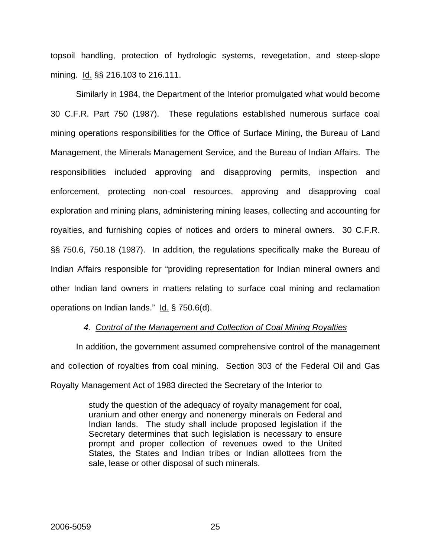topsoil handling, protection of hydrologic systems, revegetation, and steep-slope mining. Id. §§ 216.103 to 216.111.

 Similarly in 1984, the Department of the Interior promulgated what would become 30 C.F.R. Part 750 (1987). These regulations established numerous surface coal mining operations responsibilities for the Office of Surface Mining, the Bureau of Land Management, the Minerals Management Service, and the Bureau of Indian Affairs. The responsibilities included approving and disapproving permits, inspection and enforcement, protecting non-coal resources, approving and disapproving coal exploration and mining plans, administering mining leases, collecting and accounting for royalties, and furnishing copies of notices and orders to mineral owners. 30 C.F.R. §§ 750.6, 750.18 (1987). In addition, the regulations specifically make the Bureau of Indian Affairs responsible for "providing representation for Indian mineral owners and other Indian land owners in matters relating to surface coal mining and reclamation operations on Indian lands." Id. § 750.6(d).

# *4. Control of the Management and Collection of Coal Mining Royalties*

 In addition, the government assumed comprehensive control of the management and collection of royalties from coal mining. Section 303 of the Federal Oil and Gas Royalty Management Act of 1983 directed the Secretary of the Interior to

> study the question of the adequacy of royalty management for coal, uranium and other energy and nonenergy minerals on Federal and Indian lands. The study shall include proposed legislation if the Secretary determines that such legislation is necessary to ensure prompt and proper collection of revenues owed to the United States, the States and Indian tribes or Indian allottees from the sale, lease or other disposal of such minerals.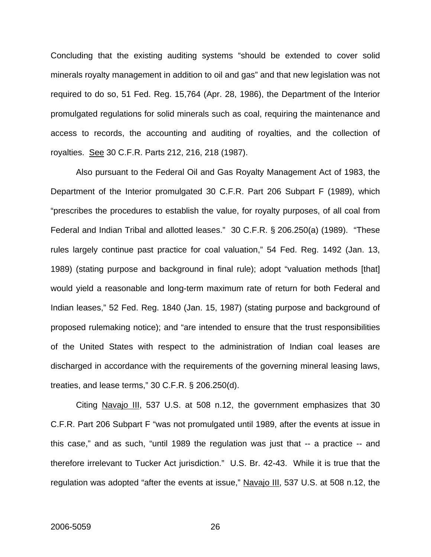Concluding that the existing auditing systems "should be extended to cover solid minerals royalty management in addition to oil and gas" and that new legislation was not required to do so, 51 Fed. Reg. 15,764 (Apr. 28, 1986), the Department of the Interior promulgated regulations for solid minerals such as coal, requiring the maintenance and access to records, the accounting and auditing of royalties, and the collection of royalties. See 30 C.F.R. Parts 212, 216, 218 (1987).

 Also pursuant to the Federal Oil and Gas Royalty Management Act of 1983, the Department of the Interior promulgated 30 C.F.R. Part 206 Subpart F (1989), which "prescribes the procedures to establish the value, for royalty purposes, of all coal from Federal and Indian Tribal and allotted leases." 30 C.F.R. § 206.250(a) (1989). "These rules largely continue past practice for coal valuation," 54 Fed. Reg. 1492 (Jan. 13, 1989) (stating purpose and background in final rule); adopt "valuation methods [that] would yield a reasonable and long-term maximum rate of return for both Federal and Indian leases," 52 Fed. Reg. 1840 (Jan. 15, 1987) (stating purpose and background of proposed rulemaking notice); and "are intended to ensure that the trust responsibilities of the United States with respect to the administration of Indian coal leases are discharged in accordance with the requirements of the governing mineral leasing laws, treaties, and lease terms," 30 C.F.R. § 206.250(d).

Citing Navajo III, 537 U.S. at 508 n.12, the government emphasizes that 30 C.F.R. Part 206 Subpart F "was not promulgated until 1989, after the events at issue in this case," and as such, "until 1989 the regulation was just that -- a practice -- and therefore irrelevant to Tucker Act jurisdiction." U.S. Br. 42-43. While it is true that the regulation was adopted "after the events at issue," Navajo III, 537 U.S. at 508 n.12, the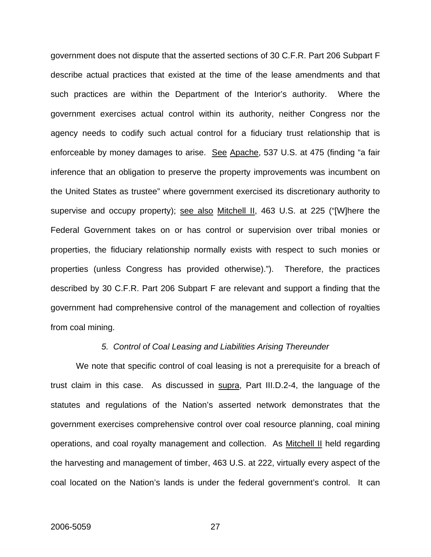government does not dispute that the asserted sections of 30 C.F.R. Part 206 Subpart F describe actual practices that existed at the time of the lease amendments and that such practices are within the Department of the Interior's authority. Where the government exercises actual control within its authority, neither Congress nor the agency needs to codify such actual control for a fiduciary trust relationship that is enforceable by money damages to arise. See Apache, 537 U.S. at 475 (finding "a fair inference that an obligation to preserve the property improvements was incumbent on the United States as trustee" where government exercised its discretionary authority to supervise and occupy property); see also Mitchell II, 463 U.S. at 225 ("[W]here the Federal Government takes on or has control or supervision over tribal monies or properties, the fiduciary relationship normally exists with respect to such monies or properties (unless Congress has provided otherwise)."). Therefore, the practices described by 30 C.F.R. Part 206 Subpart F are relevant and support a finding that the government had comprehensive control of the management and collection of royalties from coal mining.

#### *5. Control of Coal Leasing and Liabilities Arising Thereunder*

We note that specific control of coal leasing is not a prerequisite for a breach of trust claim in this case. As discussed in supra, Part III.D.2-4, the language of the statutes and regulations of the Nation's asserted network demonstrates that the government exercises comprehensive control over coal resource planning, coal mining operations, and coal royalty management and collection. As Mitchell II held regarding the harvesting and management of timber, 463 U.S. at 222, virtually every aspect of the coal located on the Nation's lands is under the federal government's control. It can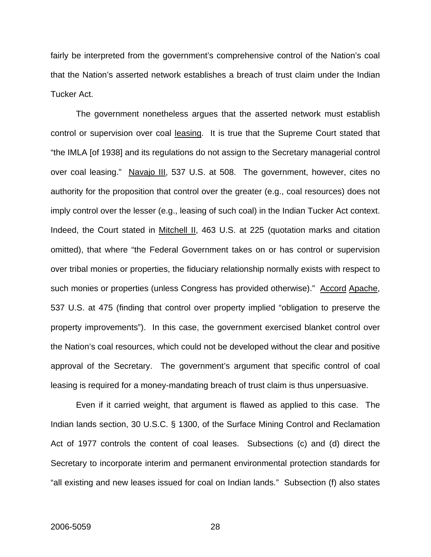fairly be interpreted from the government's comprehensive control of the Nation's coal that the Nation's asserted network establishes a breach of trust claim under the Indian Tucker Act.

 The government nonetheless argues that the asserted network must establish control or supervision over coal leasing. It is true that the Supreme Court stated that "the IMLA [of 1938] and its regulations do not assign to the Secretary managerial control over coal leasing." Navajo III, 537 U.S. at 508. The government, however, cites no authority for the proposition that control over the greater (e.g., coal resources) does not imply control over the lesser (e.g., leasing of such coal) in the Indian Tucker Act context. Indeed, the Court stated in Mitchell II, 463 U.S. at 225 (quotation marks and citation omitted), that where "the Federal Government takes on or has control or supervision over tribal monies or properties, the fiduciary relationship normally exists with respect to such monies or properties (unless Congress has provided otherwise)." Accord Apache, 537 U.S. at 475 (finding that control over property implied "obligation to preserve the property improvements"). In this case, the government exercised blanket control over the Nation's coal resources, which could not be developed without the clear and positive approval of the Secretary. The government's argument that specific control of coal leasing is required for a money-mandating breach of trust claim is thus unpersuasive.

 Even if it carried weight, that argument is flawed as applied to this case. The Indian lands section, 30 U.S.C. § 1300, of the Surface Mining Control and Reclamation Act of 1977 controls the content of coal leases. Subsections (c) and (d) direct the Secretary to incorporate interim and permanent environmental protection standards for "all existing and new leases issued for coal on Indian lands." Subsection (f) also states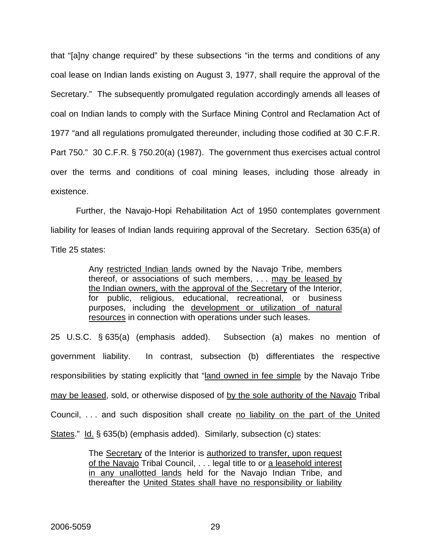that "[a]ny change required" by these subsections "in the terms and conditions of any coal lease on Indian lands existing on August 3, 1977, shall require the approval of the Secretary." The subsequently promulgated regulation accordingly amends all leases of coal on Indian lands to comply with the Surface Mining Control and Reclamation Act of 1977 "and all regulations promulgated thereunder, including those codified at 30 C.F.R. Part 750." 30 C.F.R. § 750.20(a) (1987). The government thus exercises actual control over the terms and conditions of coal mining leases, including those already in existence.

 Further, the Navajo-Hopi Rehabilitation Act of 1950 contemplates government liability for leases of Indian lands requiring approval of the Secretary. Section 635(a) of Title 25 states:

> Any restricted Indian lands owned by the Navajo Tribe, members thereof, or associations of such members, . . . may be leased by the Indian owners, with the approval of the Secretary of the Interior, for public, religious, educational, recreational, or business purposes, including the development or utilization of natural resources in connection with operations under such leases.

25 U.S.C. § 635(a) (emphasis added). Subsection (a) makes no mention of government liability. In contrast, subsection (b) differentiates the respective responsibilities by stating explicitly that "land owned in fee simple by the Navajo Tribe may be leased, sold, or otherwise disposed of by the sole authority of the Navajo Tribal Council, . . . and such disposition shall create no liability on the part of the United States." Id. § 635(b) (emphasis added). Similarly, subsection (c) states:

> The Secretary of the Interior is authorized to transfer, upon request of the Navajo Tribal Council, . . . legal title to or a leasehold interest in any unallotted lands held for the Navajo Indian Tribe, and thereafter the United States shall have no responsibility or liability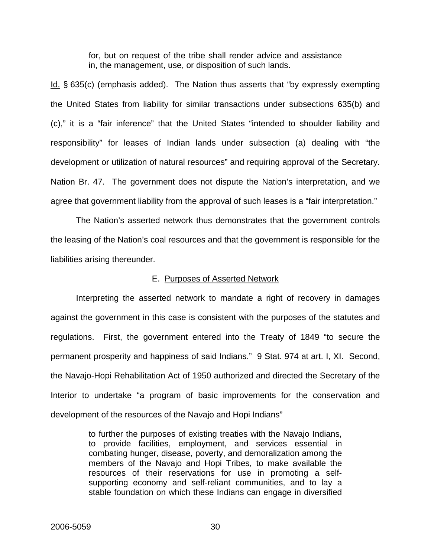for, but on request of the tribe shall render advice and assistance in, the management, use, or disposition of such lands.

Id. § 635(c) (emphasis added). The Nation thus asserts that "by expressly exempting the United States from liability for similar transactions under subsections 635(b) and (c)," it is a "fair inference" that the United States "intended to shoulder liability and responsibility" for leases of Indian lands under subsection (a) dealing with "the development or utilization of natural resources" and requiring approval of the Secretary. Nation Br. 47. The government does not dispute the Nation's interpretation, and we agree that government liability from the approval of such leases is a "fair interpretation."

The Nation's asserted network thus demonstrates that the government controls the leasing of the Nation's coal resources and that the government is responsible for the liabilities arising thereunder.

## E. Purposes of Asserted Network

 Interpreting the asserted network to mandate a right of recovery in damages against the government in this case is consistent with the purposes of the statutes and regulations. First, the government entered into the Treaty of 1849 "to secure the permanent prosperity and happiness of said Indians." 9 Stat. 974 at art. I, XI. Second, the Navajo-Hopi Rehabilitation Act of 1950 authorized and directed the Secretary of the Interior to undertake "a program of basic improvements for the conservation and development of the resources of the Navajo and Hopi Indians"

> to further the purposes of existing treaties with the Navajo Indians, to provide facilities, employment, and services essential in combating hunger, disease, poverty, and demoralization among the members of the Navajo and Hopi Tribes, to make available the resources of their reservations for use in promoting a selfsupporting economy and self-reliant communities, and to lay a stable foundation on which these Indians can engage in diversified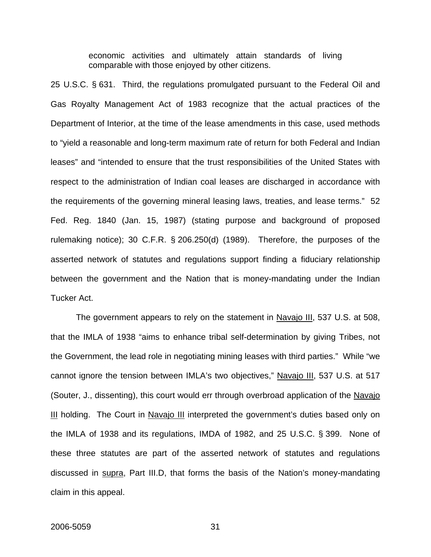economic activities and ultimately attain standards of living comparable with those enjoyed by other citizens.

25 U.S.C. § 631. Third, the regulations promulgated pursuant to the Federal Oil and Gas Royalty Management Act of 1983 recognize that the actual practices of the Department of Interior, at the time of the lease amendments in this case, used methods to "yield a reasonable and long-term maximum rate of return for both Federal and Indian leases" and "intended to ensure that the trust responsibilities of the United States with respect to the administration of Indian coal leases are discharged in accordance with the requirements of the governing mineral leasing laws, treaties, and lease terms." 52 Fed. Reg. 1840 (Jan. 15, 1987) (stating purpose and background of proposed rulemaking notice); 30 C.F.R. § 206.250(d) (1989). Therefore, the purposes of the asserted network of statutes and regulations support finding a fiduciary relationship between the government and the Nation that is money-mandating under the Indian Tucker Act.

The government appears to rely on the statement in Navajo III, 537 U.S. at 508, that the IMLA of 1938 "aims to enhance tribal self-determination by giving Tribes, not the Government, the lead role in negotiating mining leases with third parties." While "we cannot ignore the tension between IMLA's two objectives," Navajo III, 537 U.S. at 517 (Souter, J., dissenting), this court would err through overbroad application of the Navajo III holding. The Court in Navajo III interpreted the government's duties based only on the IMLA of 1938 and its regulations, IMDA of 1982, and 25 U.S.C. § 399. None of these three statutes are part of the asserted network of statutes and regulations discussed in supra, Part III.D, that forms the basis of the Nation's money-mandating claim in this appeal.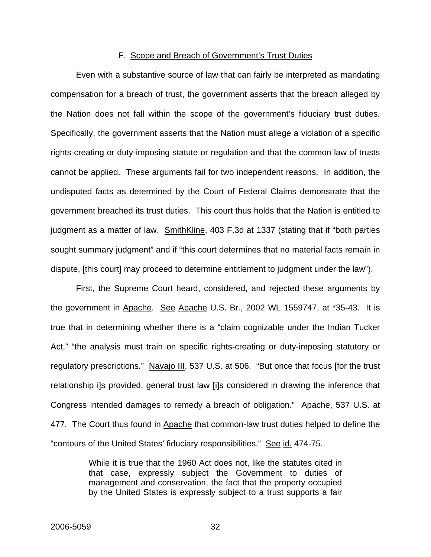## F. Scope and Breach of Government's Trust Duties

Even with a substantive source of law that can fairly be interpreted as mandating compensation for a breach of trust, the government asserts that the breach alleged by the Nation does not fall within the scope of the government's fiduciary trust duties. Specifically, the government asserts that the Nation must allege a violation of a specific rights-creating or duty-imposing statute or regulation and that the common law of trusts cannot be applied. These arguments fail for two independent reasons. In addition, the undisputed facts as determined by the Court of Federal Claims demonstrate that the government breached its trust duties. This court thus holds that the Nation is entitled to judgment as a matter of law. SmithKline, 403 F.3d at 1337 (stating that if "both parties sought summary judgment" and if "this court determines that no material facts remain in dispute, [this court] may proceed to determine entitlement to judgment under the law").

First, the Supreme Court heard, considered, and rejected these arguments by the government in Apache. See Apache U.S. Br., 2002 WL 1559747, at \*35-43. It is true that in determining whether there is a "claim cognizable under the Indian Tucker Act," "the analysis must train on specific rights-creating or duty-imposing statutory or regulatory prescriptions." Navajo III, 537 U.S. at 506. "But once that focus [for the trust relationship i]s provided, general trust law [i]s considered in drawing the inference that Congress intended damages to remedy a breach of obligation." Apache, 537 U.S. at 477. The Court thus found in Apache that common-law trust duties helped to define the "contours of the United States' fiduciary responsibilities." See id. 474-75.

> While it is true that the 1960 Act does not, like the statutes cited in that case, expressly subject the Government to duties of management and conservation, the fact that the property occupied by the United States is expressly subject to a trust supports a fair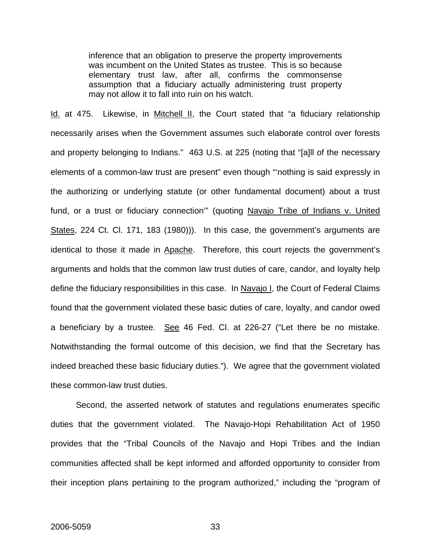inference that an obligation to preserve the property improvements was incumbent on the United States as trustee. This is so because elementary trust law, after all, confirms the commonsense assumption that a fiduciary actually administering trust property may not allow it to fall into ruin on his watch.

Id. at 475. Likewise, in Mitchell II, the Court stated that "a fiduciary relationship necessarily arises when the Government assumes such elaborate control over forests and property belonging to Indians." 463 U.S. at 225 (noting that "[a]ll of the necessary elements of a common-law trust are present" even though "'nothing is said expressly in the authorizing or underlying statute (or other fundamental document) about a trust fund, or a trust or fiduciary connection" (quoting Navajo Tribe of Indians v. United States, 224 Ct. Cl. 171, 183 (1980))). In this case, the government's arguments are identical to those it made in Apache. Therefore, this court rejects the government's arguments and holds that the common law trust duties of care, candor, and loyalty help define the fiduciary responsibilities in this case. In Navajo I, the Court of Federal Claims found that the government violated these basic duties of care, loyalty, and candor owed a beneficiary by a trustee. See 46 Fed. Cl. at 226-27 ("Let there be no mistake. Notwithstanding the formal outcome of this decision, we find that the Secretary has indeed breached these basic fiduciary duties."). We agree that the government violated these common-law trust duties.

Second, the asserted network of statutes and regulations enumerates specific duties that the government violated. The Navajo-Hopi Rehabilitation Act of 1950 provides that the "Tribal Councils of the Navajo and Hopi Tribes and the Indian communities affected shall be kept informed and afforded opportunity to consider from their inception plans pertaining to the program authorized," including the "program of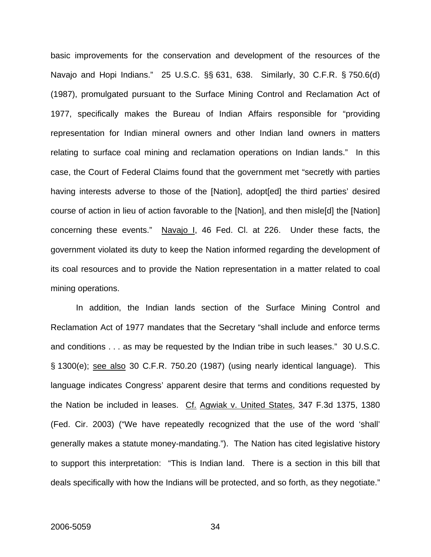basic improvements for the conservation and development of the resources of the Navajo and Hopi Indians." 25 U.S.C. §§ 631, 638. Similarly, 30 C.F.R. § 750.6(d) (1987), promulgated pursuant to the Surface Mining Control and Reclamation Act of 1977, specifically makes the Bureau of Indian Affairs responsible for "providing representation for Indian mineral owners and other Indian land owners in matters relating to surface coal mining and reclamation operations on Indian lands." In this case, the Court of Federal Claims found that the government met "secretly with parties having interests adverse to those of the [Nation], adopt[ed] the third parties' desired course of action in lieu of action favorable to the [Nation], and then misle[d] the [Nation] concerning these events." Navajo I, 46 Fed. Cl. at 226. Under these facts, the government violated its duty to keep the Nation informed regarding the development of its coal resources and to provide the Nation representation in a matter related to coal mining operations.

In addition, the Indian lands section of the Surface Mining Control and Reclamation Act of 1977 mandates that the Secretary "shall include and enforce terms and conditions . . . as may be requested by the Indian tribe in such leases." 30 U.S.C. § 1300(e); see also 30 C.F.R. 750.20 (1987) (using nearly identical language). This language indicates Congress' apparent desire that terms and conditions requested by the Nation be included in leases. Cf. Agwiak v. United States, 347 F.3d 1375, 1380 (Fed. Cir. 2003) ("We have repeatedly recognized that the use of the word 'shall' generally makes a statute money-mandating."). The Nation has cited legislative history to support this interpretation: "This is Indian land. There is a section in this bill that deals specifically with how the Indians will be protected, and so forth, as they negotiate."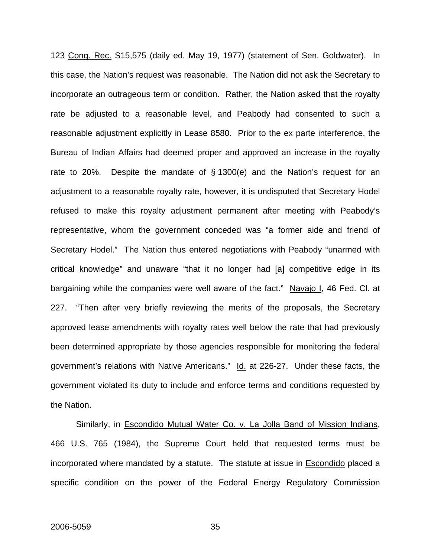123 Cong. Rec. S15,575 (daily ed. May 19, 1977) (statement of Sen. Goldwater). In this case, the Nation's request was reasonable. The Nation did not ask the Secretary to incorporate an outrageous term or condition. Rather, the Nation asked that the royalty rate be adjusted to a reasonable level, and Peabody had consented to such a reasonable adjustment explicitly in Lease 8580. Prior to the ex parte interference, the Bureau of Indian Affairs had deemed proper and approved an increase in the royalty rate to 20%. Despite the mandate of § 1300(e) and the Nation's request for an adjustment to a reasonable royalty rate, however, it is undisputed that Secretary Hodel refused to make this royalty adjustment permanent after meeting with Peabody's representative, whom the government conceded was "a former aide and friend of Secretary Hodel." The Nation thus entered negotiations with Peabody "unarmed with critical knowledge" and unaware "that it no longer had [a] competitive edge in its bargaining while the companies were well aware of the fact." Navajo I, 46 Fed. Cl. at 227. "Then after very briefly reviewing the merits of the proposals, the Secretary approved lease amendments with royalty rates well below the rate that had previously been determined appropriate by those agencies responsible for monitoring the federal government's relations with Native Americans." Id. at 226-27. Under these facts, the government violated its duty to include and enforce terms and conditions requested by the Nation.

Similarly, in Escondido Mutual Water Co. v. La Jolla Band of Mission Indians, 466 U.S. 765 (1984), the Supreme Court held that requested terms must be incorporated where mandated by a statute. The statute at issue in Escondido placed a specific condition on the power of the Federal Energy Regulatory Commission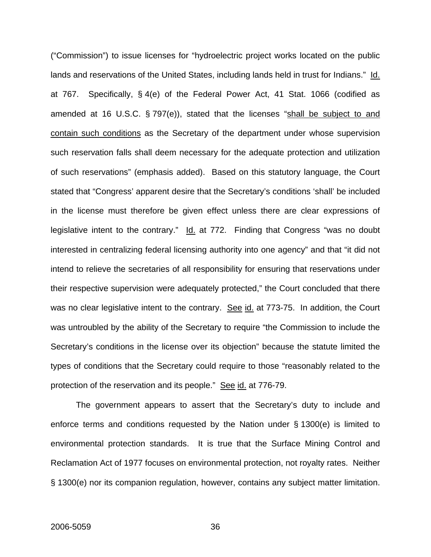("Commission") to issue licenses for "hydroelectric project works located on the public lands and reservations of the United States, including lands held in trust for Indians." Id. at 767. Specifically, § 4(e) of the Federal Power Act, 41 Stat. 1066 (codified as amended at 16 U.S.C. § 797(e)), stated that the licenses "shall be subject to and contain such conditions as the Secretary of the department under whose supervision such reservation falls shall deem necessary for the adequate protection and utilization of such reservations" (emphasis added). Based on this statutory language, the Court stated that "Congress' apparent desire that the Secretary's conditions 'shall' be included in the license must therefore be given effect unless there are clear expressions of legislative intent to the contrary." Id. at 772. Finding that Congress "was no doubt interested in centralizing federal licensing authority into one agency" and that "it did not intend to relieve the secretaries of all responsibility for ensuring that reservations under their respective supervision were adequately protected," the Court concluded that there was no clear legislative intent to the contrary. See id. at 773-75. In addition, the Court was untroubled by the ability of the Secretary to require "the Commission to include the Secretary's conditions in the license over its objection" because the statute limited the types of conditions that the Secretary could require to those "reasonably related to the protection of the reservation and its people." See id. at 776-79.

The government appears to assert that the Secretary's duty to include and enforce terms and conditions requested by the Nation under § 1300(e) is limited to environmental protection standards. It is true that the Surface Mining Control and Reclamation Act of 1977 focuses on environmental protection, not royalty rates. Neither § 1300(e) nor its companion regulation, however, contains any subject matter limitation.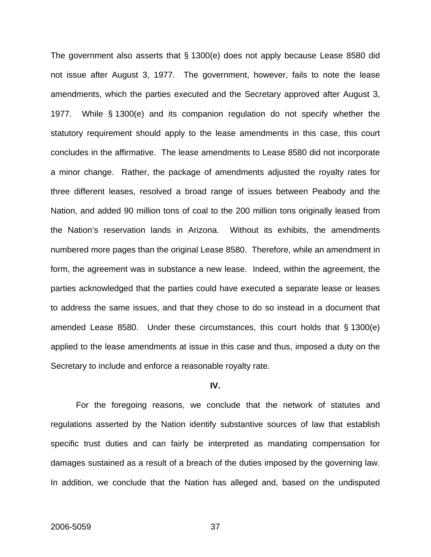The government also asserts that § 1300(e) does not apply because Lease 8580 did not issue after August 3, 1977. The government, however, fails to note the lease amendments, which the parties executed and the Secretary approved after August 3, 1977. While § 1300(e) and its companion regulation do not specify whether the statutory requirement should apply to the lease amendments in this case, this court concludes in the affirmative. The lease amendments to Lease 8580 did not incorporate a minor change. Rather, the package of amendments adjusted the royalty rates for three different leases, resolved a broad range of issues between Peabody and the Nation, and added 90 million tons of coal to the 200 million tons originally leased from the Nation's reservation lands in Arizona. Without its exhibits, the amendments numbered more pages than the original Lease 8580. Therefore, while an amendment in form, the agreement was in substance a new lease. Indeed, within the agreement, the parties acknowledged that the parties could have executed a separate lease or leases to address the same issues, and that they chose to do so instead in a document that amended Lease 8580. Under these circumstances, this court holds that § 1300(e) applied to the lease amendments at issue in this case and thus, imposed a duty on the Secretary to include and enforce a reasonable royalty rate.

### **IV.**

 For the foregoing reasons, we conclude that the network of statutes and regulations asserted by the Nation identify substantive sources of law that establish specific trust duties and can fairly be interpreted as mandating compensation for damages sustained as a result of a breach of the duties imposed by the governing law. In addition, we conclude that the Nation has alleged and, based on the undisputed